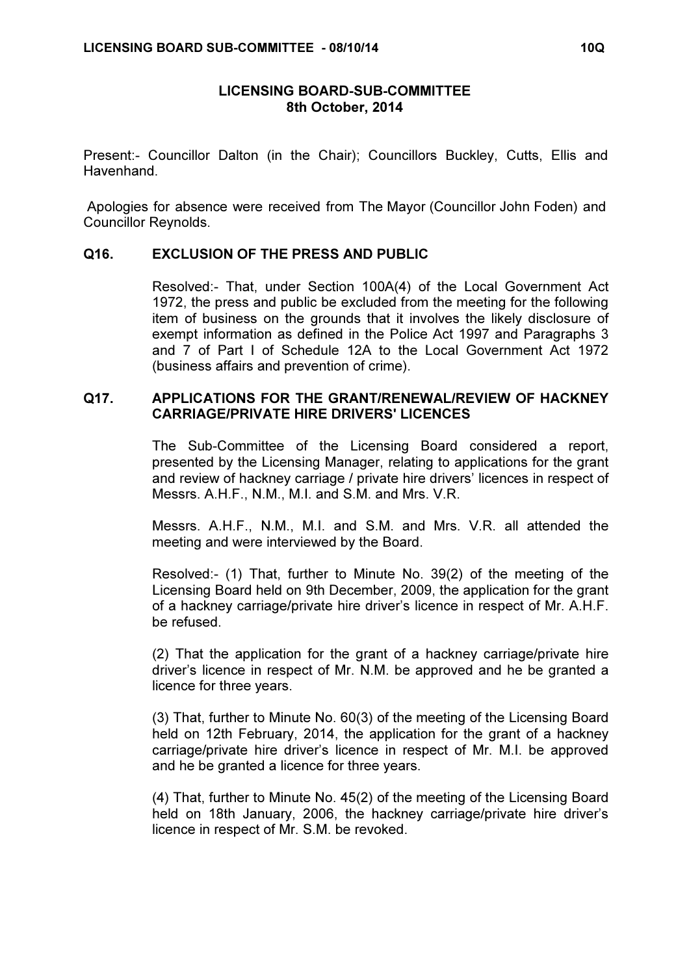## LICENSING BOARD-SUB-COMMITTEE 8th October, 2014

Present:- Councillor Dalton (in the Chair); Councillors Buckley, Cutts, Ellis and Havenhand.

 Apologies for absence were received from The Mayor (Councillor John Foden) and Councillor Reynolds.

## Q16. EXCLUSION OF THE PRESS AND PUBLIC

 Resolved:- That, under Section 100A(4) of the Local Government Act 1972, the press and public be excluded from the meeting for the following item of business on the grounds that it involves the likely disclosure of exempt information as defined in the Police Act 1997 and Paragraphs 3 and 7 of Part I of Schedule 12A to the Local Government Act 1972 (business affairs and prevention of crime).

## Q17. APPLICATIONS FOR THE GRANT/RENEWAL/REVIEW OF HACKNEY CARRIAGE/PRIVATE HIRE DRIVERS' LICENCES

 The Sub-Committee of the Licensing Board considered a report, presented by the Licensing Manager, relating to applications for the grant and review of hackney carriage / private hire drivers' licences in respect of Messrs. A.H.F., N.M., M.I. and S.M. and Mrs. V.R.

Messrs. A.H.F., N.M., M.I. and S.M. and Mrs. V.R. all attended the meeting and were interviewed by the Board.

Resolved:- (1) That, further to Minute No. 39(2) of the meeting of the Licensing Board held on 9th December, 2009, the application for the grant of a hackney carriage/private hire driver's licence in respect of Mr. A.H.F. be refused.

(2) That the application for the grant of a hackney carriage/private hire driver's licence in respect of Mr. N.M. be approved and he be granted a licence for three years.

(3) That, further to Minute No. 60(3) of the meeting of the Licensing Board held on 12th February, 2014, the application for the grant of a hackney carriage/private hire driver's licence in respect of Mr. M.I. be approved and he be granted a licence for three years.

(4) That, further to Minute No. 45(2) of the meeting of the Licensing Board held on 18th January, 2006, the hackney carriage/private hire driver's licence in respect of Mr. S.M. be revoked.